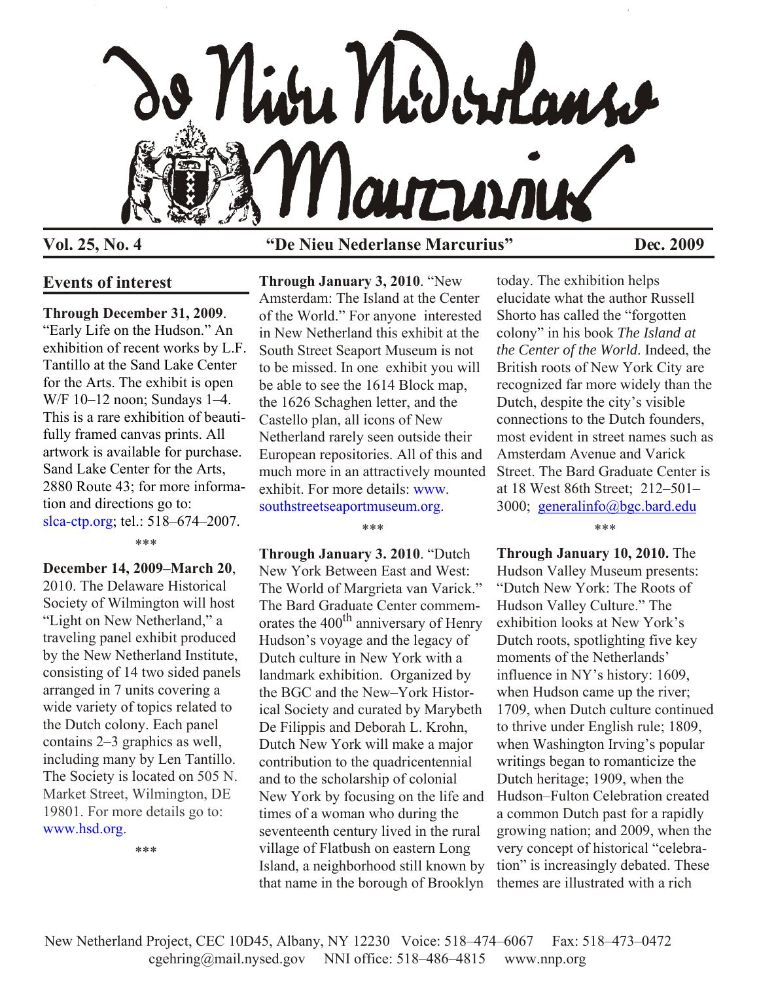

# **Vol. 25, No. 4 "De Nieu Nederlanse Marcurius" Dec. 2009**

## **Events of interest**

## **Through December 31, 2009**.

"Early Life on the Hudson." An exhibition of recent works by L.F. Tantillo at the Sand Lake Center for the Arts. The exhibit is open W/F 10–12 noon; Sundays 1–4. This is a rare exhibition of beautifully framed canvas prints. All artwork is available for purchase. Sand Lake Center for the Arts, 2880 Route 43; for more information and directions go to: [slca-ctp.org;](http://www.slca-ctp.org) tel.: 518–674–2007.

\*\*\*

**December 14, 2009–March 20**, 2010. The Delaware Historical Society of Wilmington will host "Light on New Netherland," a traveling panel exhibit produced by the New Netherland Institute, consisting of 14 two sided panels arranged in 7 units covering a wide variety of topics related to the Dutch colony. Each panel contains 2–3 graphics as well, including many by Len Tantillo. The Society is located on 505 N. Market Street, Wilmington, DE 19801. For more details go to: [www.hsd.org.](http://www.hsd.org)

\*\*\*

**Through January 3, 2010**. "New Amsterdam: The Island at the Center of the World." For anyone interested in New Netherland this exhibit at the South Street Seaport Museum is not to be missed. In one exhibit you will be able to see the 1614 Block map, the 1626 Schaghen letter, and the Castello plan, all icons of New Netherland rarely seen outside their European repositories. All of this and much more in an attractively mounted [exhibit. For more details: www.](http://www.southstreetseaportmuseum.org) southstreetseaportmuseum.org.

#### \*\*\*

**Through January 3. 2010**. "Dutch New York Between East and West: The World of Margrieta van Varick." The Bard Graduate Center commemorates the 400<sup>th</sup> anniversary of Henry Hudson's voyage and the legacy of Dutch culture in New York with a landmark exhibition. Organized by the BGC and the New–York Historical Society and curated by Marybeth De Filippis and Deborah L. Krohn, Dutch New York will make a major contribution to the quadricentennial and to the scholarship of colonial New York by focusing on the life and times of a woman who during the seventeenth century lived in the rural village of Flatbush on eastern Long Island, a neighborhood still known by that name in the borough of Brooklyn

today. The exhibition helps elucidate what the author Russell Shorto has called the "forgotten colony" in his book *The Island at the Center of the World*. Indeed, the British roots of New York City are recognized far more widely than the Dutch, despite the city's visible connections to the Dutch founders, most evident in street names such as Amsterdam Avenue and Varick Street. The Bard Graduate Center is at 18 West 86th Street; 212–501– 3000; [generalinfo@bgc.bard.edu](mailto:generalinfo@bgc.bard.edu)

\*\*\*

**Through January 10, 2010.** The Hudson Valley Museum presents: "Dutch New York: The Roots of Hudson Valley Culture." The exhibition looks at New York's Dutch roots, spotlighting five key moments of the Netherlands' influence in NY's history: 1609, when Hudson came up the river; 1709, when Dutch culture continued to thrive under English rule; 1809, when Washington Irving's popular writings began to romanticize the Dutch heritage; 1909, when the Hudson–Fulton Celebration created a common Dutch past for a rapidly growing nation; and 2009, when the very concept of historical "celebration" is increasingly debated. These themes are illustrated with a rich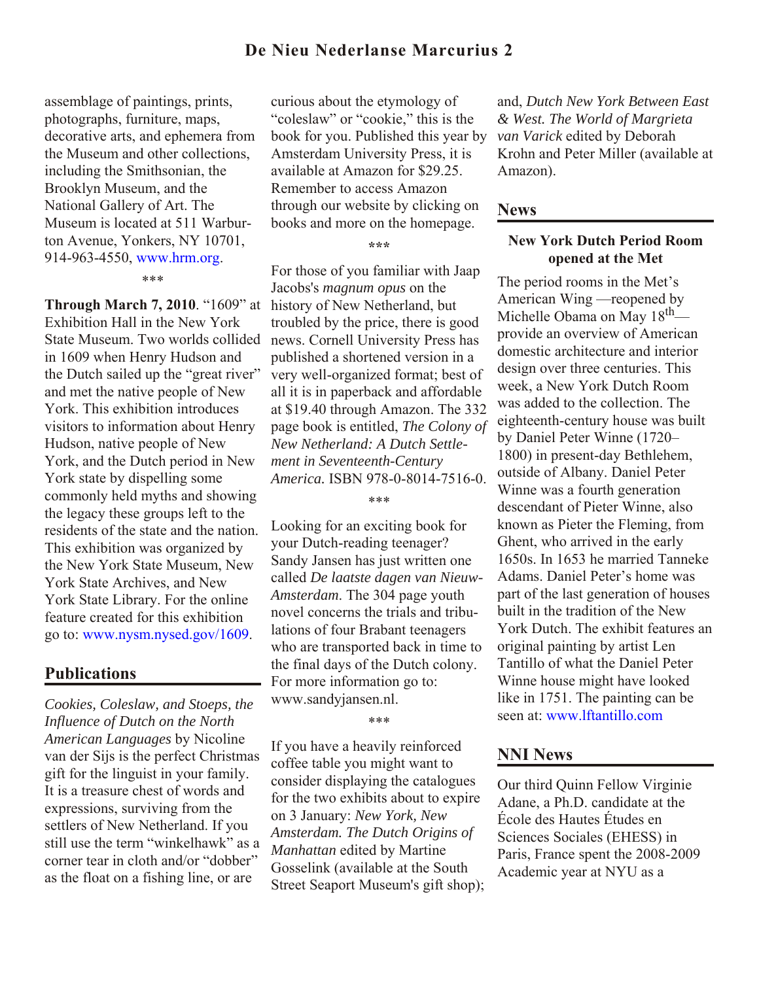## **De Nieu Nederlanse Marcurius 2**

assemblage of paintings, prints, photographs, furniture, maps, decorative arts, and ephemera from the Museum and other collections, including the Smithsonian, the Brooklyn Museum, and the National Gallery of Art. The Museum is located at 511 Warburton Avenue, Yonkers, NY 10701, 914-963-4550, www.hrm.org.

\*\*\*

**Through March 7, 2010**. "1609" at history of New Netherland, but Exhibition Hall in the New York State Museum. Two worlds collided in 1609 when Henry Hudson and the Dutch sailed up the "great river" and met the native people of New York. This exhibition introduces visitors to information about Henry Hudson, native people of New York, and the Dutch period in New York state by dispelling some commonly held myths and showing the legacy these groups left to the residents of the state and the nation. This exhibition was organized by the New York State Museum, New York State Archives, and New York State Library. For the online feature created for this exhibition go to[: www.nysm.nysed.gov/1609.](htttp://www.nysm.nysed.gov/1609)

### **Publications**

*Cookies, Coleslaw, and Stoeps, the Influence of Dutch on the North American Languages* by Nicoline van der Sijs is the perfect Christmas gift for the linguist in your family. It is a treasure chest of words and expressions, surviving from the settlers of New Netherland. If you still use the term "winkelhawk" as a corner tear in cloth and/or "dobber" as the float on a fishing line, or are

curious about the etymology of "coleslaw" or "cookie," this is the book for you. Published this year by Amsterdam University Press, it is available at Amazon for \$29.25. Remember to access Amazon through our website by clicking on books and more on the homepage.

**\*\*\***

For those of you familiar with Jaap Jacobs's *magnum opus* on the troubled by the price, there is good news. Cornell University Press has published a shortened version in a very well-organized format; best of all it is in paperback and affordable at \$19.40 through Amazon. The 332 page book is entitled, *The Colony of New Netherland: A Dutch Settlement in Seventeenth-Century America.* ISBN 978-0-8014-7516-0.

\*\*\*

Looking for an exciting book for your Dutch-reading teenager? Sandy Jansen has just written one called *De laatste dagen van Nieuw-Amsterdam*. The 304 page youth novel concerns the trials and tribulations of four Brabant teenagers who are transported back in time to the final days of the Dutch colony. For more information go to: www.sandyjansen.nl.

\*\*\*

If you have a heavily reinforced coffee table you might want to consider displaying the catalogues for the two exhibits about to expire on 3 January: *New York, New Amsterdam. The Dutch Origins of Manhattan* edited by Martine Gosselink (available at the South Street Seaport Museum's gift shop);

and, *Dutch New York Between East & West. The World of Margrieta van Varick* edited by Deborah Krohn and Peter Miller (available at Amazon).

#### **News**

### **New York Dutch Period Room opened at the Met**

The period rooms in the Met's American Wing —reopened by Michelle Obama on May 18<sup>th</sup> provide an overview of American domestic architecture and interior design over three centuries. This week, a New York Dutch Room was added to the collection. The eighteenth-century house was built by Daniel Peter Winne (1720– 1800) in present-day Bethlehem, outside of Albany. Daniel Peter Winne was a fourth generation descendant of Pieter Winne, also known as Pieter the Fleming, from Ghent, who arrived in the early 1650s. In 1653 he married Tanneke Adams. Daniel Peter's home was part of the last generation of houses built in the tradition of the New York Dutch. The exhibit features an original painting by artist Len Tantillo of what the Daniel Peter Winne house might have looked like in 1751. The painting can be seen at: [www.lftantillo.com](http://www.lftantillo.com/Artwork%20pages/winne_house.htm)

### **NNI News**

Our third Quinn Fellow Virginie Adane, a Ph.D. candidate at the École des Hautes Études en Sciences Sociales (EHESS) in Paris, France spent the 2008-2009 Academic year at NYU as a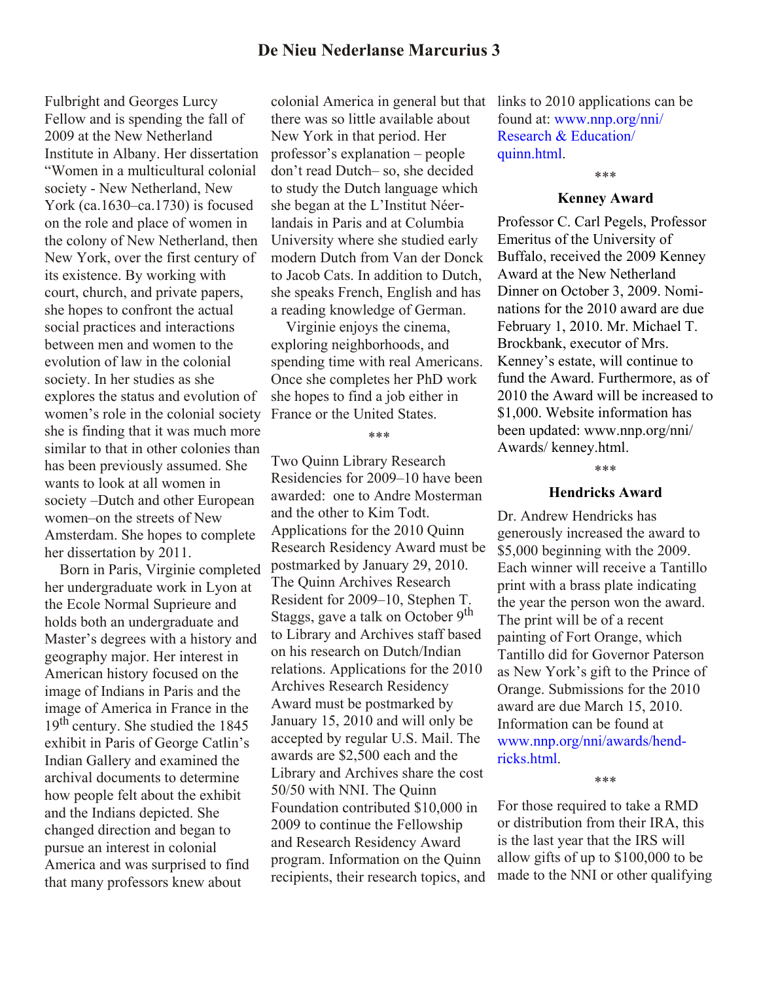## **De Nieu Nederlanse Marcurius 3**

Fulbright and Georges Lurcy Fellow and is spending the fall of 2009 at the New Netherland Institute in Albany. Her dissertation "Women in a multicultural colonial society - New Netherland, New York (ca.1630–ca.1730) is focused on the role and place of women in the colony of New Netherland, then New York, over the first century of its existence. By working with court, church, and private papers, she hopes to confront the actual social practices and interactions between men and women to the evolution of law in the colonial society. In her studies as she explores the status and evolution of women's role in the colonial society she is finding that it was much more similar to that in other colonies than has been previously assumed. She wants to look at all women in society –Dutch and other European women–on the streets of New Amsterdam. She hopes to complete her dissertation by 2011.

 Born in Paris, Virginie completed her undergraduate work in Lyon at the Ecole Normal Suprieure and holds both an undergraduate and Master's degrees with a history and geography major. Her interest in American history focused on the image of Indians in Paris and the image of America in France in the 19<sup>th</sup> century. She studied the 1845 exhibit in Paris of George Catlin's Indian Gallery and examined the archival documents to determine how people felt about the exhibit and the Indians depicted. She changed direction and began to pursue an interest in colonial America and was surprised to find that many professors knew about

colonial America in general but that there was so little available about New York in that period. Her professor's explanation – people don't read Dutch– so, she decided to study the Dutch language which she began at the L'Institut Néerlandais in Paris and at Columbia University where she studied early modern Dutch from Van der Donck to Jacob Cats. In addition to Dutch she speaks French, English and has a reading knowledge of German.

 Virginie enjoys the cinema, exploring neighborhoods, and spending time with real Americans. Once she completes her PhD work she hopes to find a job either in France or the United States.

#### \*\*\*

Two Quinn Library Research Residencies for 2009–10 have been awarded: one to Andre Mosterman and the other to Kim Todt. Applications for the 2010 Quinn Research Residency Award must be postmarked by January 29, 2010. The Quinn Archives Research Resident for 2009–10, Stephen T. Staggs, gave a talk on October  $9<sup>th</sup>$ to Library and Archives staff based on his research on Dutch/Indian relations. Applications for the 2010 Archives Research Residency Award must be postmarked by January 15, 2010 and will only be accepted by regular U.S. Mail. The awards are \$2,500 each and the Library and Archives share the cost 50/50 with NNI. The Quinn Foundation contributed \$10,000 in 2009 to continue the Fellowship and Research Residency Award program. Information on the Quinn recipients, their research topics, and

links to 2010 applications can be [found at: www.nnp.org/nni/](http://www.nnp.org/nni/Research%20&%20Education/quinn.html) Research & Education/ quinn.html.

## \*\*\* **Kenney Award**

Professor C. Carl Pegels, Professor Emeritus of the University of Buffalo, received the 2009 Kenney Award at the New Netherland Dinner on October 3, 2009. Nominations for the 2010 award are due February 1, 2010. Mr. Michael T. Brockbank, executor of Mrs. Kenney's estate, will continue to fund the Award. Furthermore, as of 2010 the Award will be increased to \$1,000. Website information has been updated: www.nnp.org/nni/ Awards/ kenney.html.

### \*\*\*

#### **Hendricks Award**

Dr. Andrew Hendricks has generously increased the award to \$5,000 beginning with the 2009. Each winner will receive a Tantillo print with a brass plate indicating the year the person won the award. The print will be of a recent painting of Fort Orange, which Tantillo did for Governor Paterson as New York's gift to the Prince of Orange. Submissions for the 2010 award are due March 15, 2010. Information can be found at [www.nnp.org/nni/awards/hend](http://www.nnp.org/nni/awards/hendricks.html)ricks.html.

\*\*\*

For those required to take a RMD or distribution from their IRA, this is the last year that the IRS will allow gifts of up to \$100,000 to be made to the NNI or other qualifying